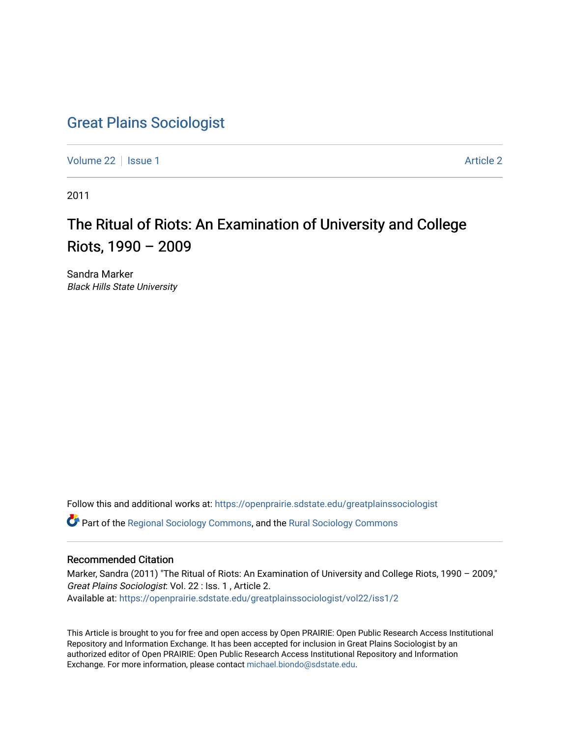## [Great Plains Sociologist](https://openprairie.sdstate.edu/greatplainssociologist)

[Volume 22](https://openprairie.sdstate.edu/greatplainssociologist/vol22) | [Issue 1](https://openprairie.sdstate.edu/greatplainssociologist/vol22/iss1) [Article 2](https://openprairie.sdstate.edu/greatplainssociologist/vol22/iss1/2) | Issue 1 Article 2 | Article 2 | Article 2 | Article 2 | Article 2 | Article 2

2011

## The Ritual of Riots: An Examination of University and College Riots, 1990 – 2009

Sandra Marker Black Hills State University

Follow this and additional works at: [https://openprairie.sdstate.edu/greatplainssociologist](https://openprairie.sdstate.edu/greatplainssociologist?utm_source=openprairie.sdstate.edu%2Fgreatplainssociologist%2Fvol22%2Fiss1%2F2&utm_medium=PDF&utm_campaign=PDFCoverPages) 

Part of the [Regional Sociology Commons](http://network.bepress.com/hgg/discipline/427?utm_source=openprairie.sdstate.edu%2Fgreatplainssociologist%2Fvol22%2Fiss1%2F2&utm_medium=PDF&utm_campaign=PDFCoverPages), and the [Rural Sociology Commons](http://network.bepress.com/hgg/discipline/428?utm_source=openprairie.sdstate.edu%2Fgreatplainssociologist%2Fvol22%2Fiss1%2F2&utm_medium=PDF&utm_campaign=PDFCoverPages) 

### Recommended Citation

Marker, Sandra (2011) "The Ritual of Riots: An Examination of University and College Riots, 1990 – 2009," Great Plains Sociologist: Vol. 22 : Iss. 1 , Article 2. Available at: [https://openprairie.sdstate.edu/greatplainssociologist/vol22/iss1/2](https://openprairie.sdstate.edu/greatplainssociologist/vol22/iss1/2?utm_source=openprairie.sdstate.edu%2Fgreatplainssociologist%2Fvol22%2Fiss1%2F2&utm_medium=PDF&utm_campaign=PDFCoverPages)

This Article is brought to you for free and open access by Open PRAIRIE: Open Public Research Access Institutional Repository and Information Exchange. It has been accepted for inclusion in Great Plains Sociologist by an authorized editor of Open PRAIRIE: Open Public Research Access Institutional Repository and Information Exchange. For more information, please contact [michael.biondo@sdstate.edu.](mailto:michael.biondo@sdstate.edu)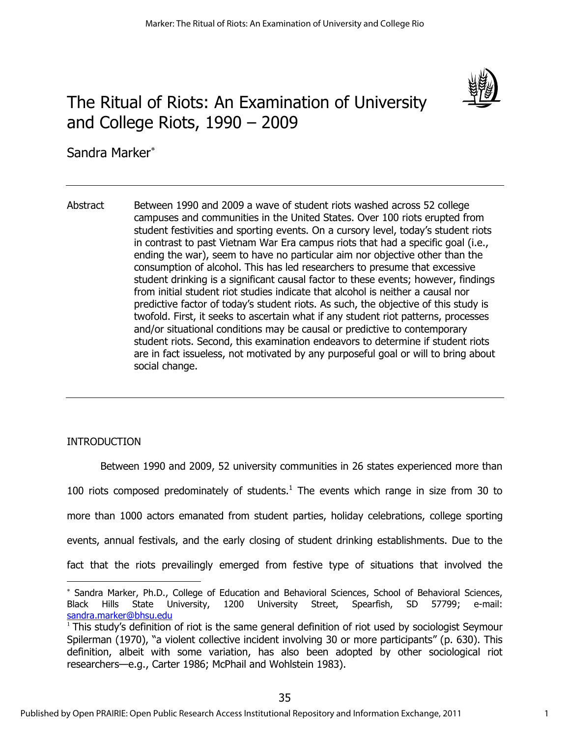

# The Ritual of Riots: An Examination of University and College Riots, 1990 – 2009

Sandra Marker

Abstract Between 1990 and 2009 a wave of student riots washed across 52 college campuses and communities in the United States. Over 100 riots erupted from student festivities and sporting events. On a cursory level, today's student riots in contrast to past Vietnam War Era campus riots that had a specific goal (i.e., ending the war), seem to have no particular aim nor objective other than the consumption of alcohol. This has led researchers to presume that excessive student drinking is a significant causal factor to these events; however, findings from initial student riot studies indicate that alcohol is neither a causal nor predictive factor of today's student riots. As such, the objective of this study is twofold. First, it seeks to ascertain what if any student riot patterns, processes and/or situational conditions may be causal or predictive to contemporary student riots. Second, this examination endeavors to determine if student riots are in fact issueless, not motivated by any purposeful goal or will to bring about social change.

## INTRODUCTION

 $\overline{a}$ 

Between 1990 and 2009, 52 university communities in 26 states experienced more than 100 riots composed predominately of students. $<sup>1</sup>$  The events which range in size from 30 to</sup> more than 1000 actors emanated from student parties, holiday celebrations, college sporting events, annual festivals, and the early closing of student drinking establishments. Due to the fact that the riots prevailingly emerged from festive type of situations that involved the

Sandra Marker, Ph.D., College of Education and Behavioral Sciences, School of Behavioral Sciences, Black Hills State University, 1200 University Street, Spearfish, SD 57799; e-mail: [sandra.marker@bhsu.edu](mailto:sandra.marker@bhsu.edu) 

<sup>1</sup> This study's definition of riot is the same general definition of riot used by sociologist Seymour Spilerman (1970), "a violent collective incident involving 30 or more participants" (p. 630). This definition, albeit with some variation, has also been adopted by other sociological riot researchers—e.g., Carter 1986; McPhail and Wohlstein 1983).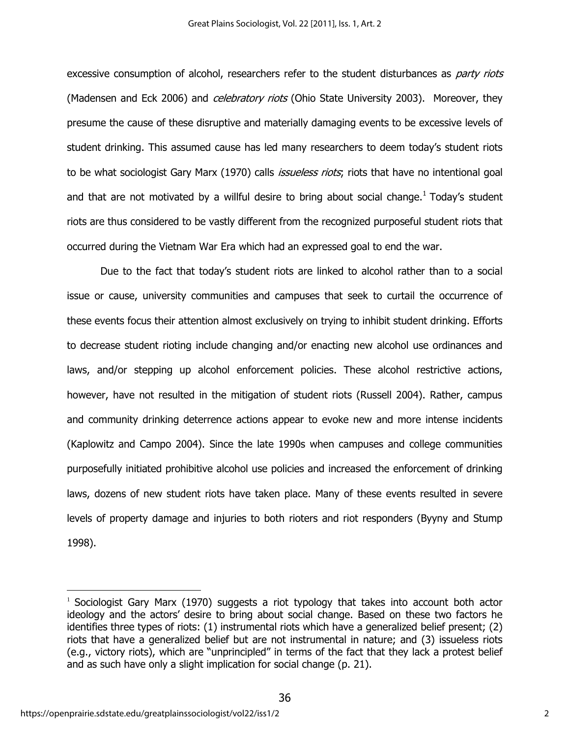excessive consumption of alcohol, researchers refer to the student disturbances as *party riots* (Madensen and Eck 2006) and *celebratory riots* (Ohio State University 2003). Moreover, they presume the cause of these disruptive and materially damaging events to be excessive levels of student drinking. This assumed cause has led many researchers to deem today's student riots to be what sociologist Gary Marx (1970) calls *issueless riots*; riots that have no intentional goal and that are not motivated by a willful desire to bring about social change.<sup>1</sup> Today's student riots are thus considered to be vastly different from the recognized purposeful student riots that occurred during the Vietnam War Era which had an expressed goal to end the war.

Due to the fact that today's student riots are linked to alcohol rather than to a social issue or cause, university communities and campuses that seek to curtail the occurrence of these events focus their attention almost exclusively on trying to inhibit student drinking. Efforts to decrease student rioting include changing and/or enacting new alcohol use ordinances and laws, and/or stepping up alcohol enforcement policies. These alcohol restrictive actions, however, have not resulted in the mitigation of student riots (Russell 2004). Rather, campus and community drinking deterrence actions appear to evoke new and more intense incidents (Kaplowitz and Campo 2004). Since the late 1990s when campuses and college communities purposefully initiated prohibitive alcohol use policies and increased the enforcement of drinking laws, dozens of new student riots have taken place. Many of these events resulted in severe levels of property damage and injuries to both rioters and riot responders (Byyny and Stump 1998).

 $\overline{a}$ 

 $1$  Sociologist Gary Marx (1970) suggests a riot typology that takes into account both actor ideology and the actors' desire to bring about social change. Based on these two factors he identifies three types of riots: (1) instrumental riots which have a generalized belief present; (2) riots that have a generalized belief but are not instrumental in nature; and (3) issueless riots (e.g., victory riots), which are "unprincipled" in terms of the fact that they lack a protest belief and as such have only a slight implication for social change (p. 21).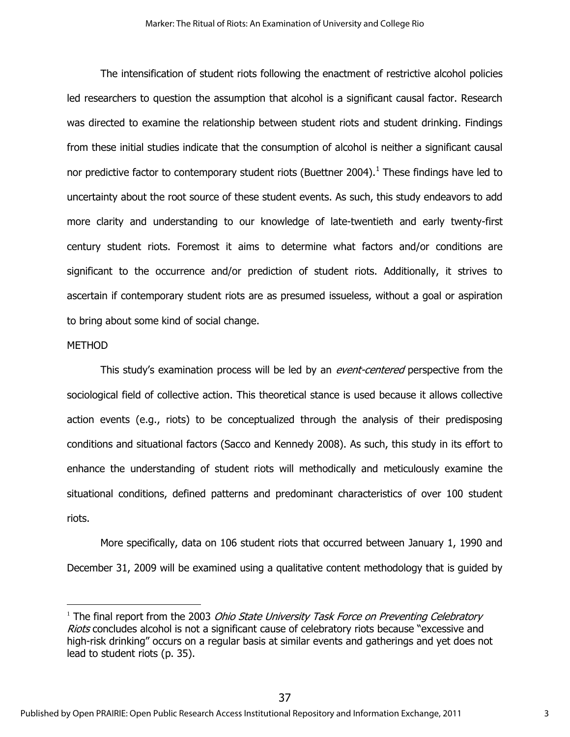The intensification of student riots following the enactment of restrictive alcohol policies led researchers to question the assumption that alcohol is a significant causal factor. Research was directed to examine the relationship between student riots and student drinking. Findings from these initial studies indicate that the consumption of alcohol is neither a significant causal nor predictive factor to contemporary student riots (Buettner 2004). $^1$  These findings have led to uncertainty about the root source of these student events. As such, this study endeavors to add more clarity and understanding to our knowledge of late-twentieth and early twenty-first century student riots. Foremost it aims to determine what factors and/or conditions are significant to the occurrence and/or prediction of student riots. Additionally, it strives to ascertain if contemporary student riots are as presumed issueless, without a goal or aspiration to bring about some kind of social change.

### **METHOD**

 $\overline{a}$ 

This study's examination process will be led by an *event-centered* perspective from the sociological field of collective action. This theoretical stance is used because it allows collective action events (e.g., riots) to be conceptualized through the analysis of their predisposing conditions and situational factors (Sacco and Kennedy 2008). As such, this study in its effort to enhance the understanding of student riots will methodically and meticulously examine the situational conditions, defined patterns and predominant characteristics of over 100 student riots.

More specifically, data on 106 student riots that occurred between January 1, 1990 and December 31, 2009 will be examined using a qualitative content methodology that is guided by

<sup>&</sup>lt;sup>1</sup> The final report from the 2003 *Ohio State University Task Force on Preventing Celebratory* Riots concludes alcohol is not a significant cause of celebratory riots because "excessive and high-risk drinking" occurs on a regular basis at similar events and gatherings and yet does not lead to student riots (p. 35).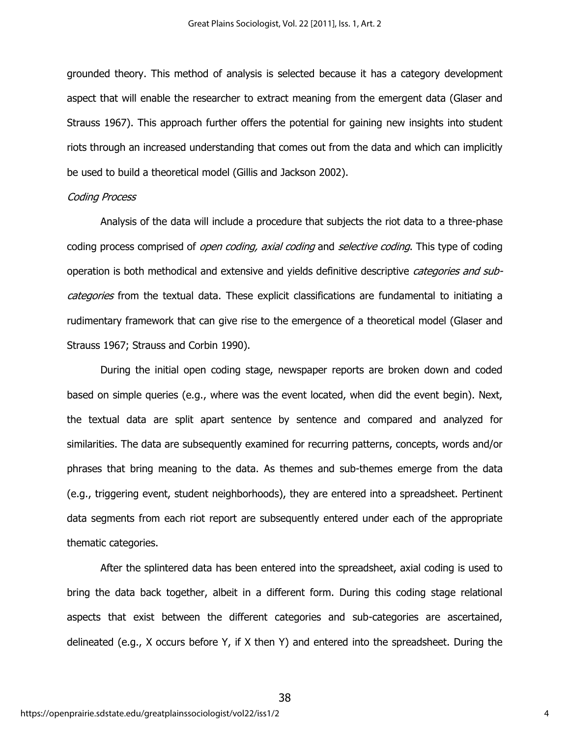grounded theory. This method of analysis is selected because it has a category development aspect that will enable the researcher to extract meaning from the emergent data (Glaser and Strauss 1967). This approach further offers the potential for gaining new insights into student riots through an increased understanding that comes out from the data and which can implicitly be used to build a theoretical model (Gillis and Jackson 2002).

#### Coding Process

Analysis of the data will include a procedure that subjects the riot data to a three-phase coding process comprised of *open coding, axial coding* and *selective coding*. This type of coding operation is both methodical and extensive and yields definitive descriptive *categories and sub*categories from the textual data. These explicit classifications are fundamental to initiating a rudimentary framework that can give rise to the emergence of a theoretical model (Glaser and Strauss 1967; Strauss and Corbin 1990).

During the initial open coding stage, newspaper reports are broken down and coded based on simple queries (e.g., where was the event located, when did the event begin). Next, the textual data are split apart sentence by sentence and compared and analyzed for similarities. The data are subsequently examined for recurring patterns, concepts, words and/or phrases that bring meaning to the data. As themes and sub-themes emerge from the data (e.g., triggering event, student neighborhoods), they are entered into a spreadsheet. Pertinent data segments from each riot report are subsequently entered under each of the appropriate thematic categories.

After the splintered data has been entered into the spreadsheet, axial coding is used to bring the data back together, albeit in a different form. During this coding stage relational aspects that exist between the different categories and sub-categories are ascertained, delineated (e.g., X occurs before Y, if X then Y) and entered into the spreadsheet. During the

38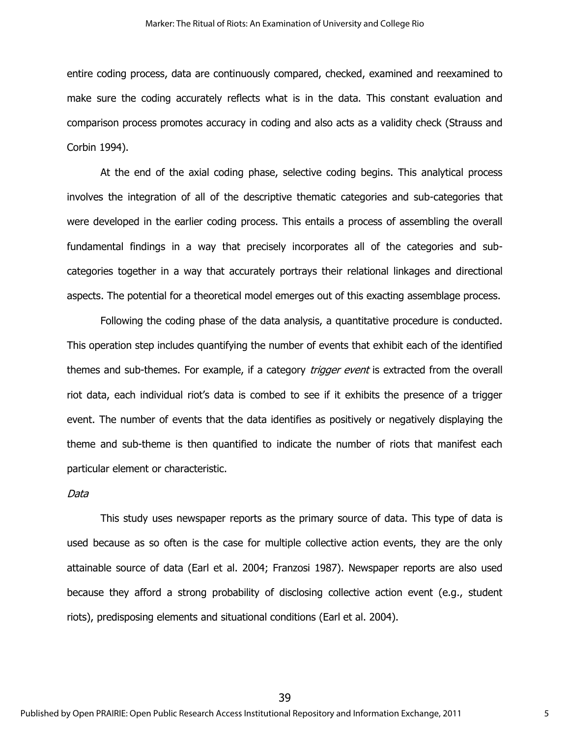entire coding process, data are continuously compared, checked, examined and reexamined to make sure the coding accurately reflects what is in the data. This constant evaluation and comparison process promotes accuracy in coding and also acts as a validity check (Strauss and Corbin 1994).

At the end of the axial coding phase, selective coding begins. This analytical process involves the integration of all of the descriptive thematic categories and sub-categories that were developed in the earlier coding process. This entails a process of assembling the overall fundamental findings in a way that precisely incorporates all of the categories and subcategories together in a way that accurately portrays their relational linkages and directional aspects. The potential for a theoretical model emerges out of this exacting assemblage process.

Following the coding phase of the data analysis, a quantitative procedure is conducted. This operation step includes quantifying the number of events that exhibit each of the identified themes and sub-themes. For example, if a category *trigger event* is extracted from the overall riot data, each individual riot's data is combed to see if it exhibits the presence of a trigger event. The number of events that the data identifies as positively or negatively displaying the theme and sub-theme is then quantified to indicate the number of riots that manifest each particular element or characteristic.

#### Data

This study uses newspaper reports as the primary source of data. This type of data is used because as so often is the case for multiple collective action events, they are the only attainable source of data (Earl et al. 2004; Franzosi 1987). Newspaper reports are also used because they afford a strong probability of disclosing collective action event (e.g., student riots), predisposing elements and situational conditions (Earl et al. 2004).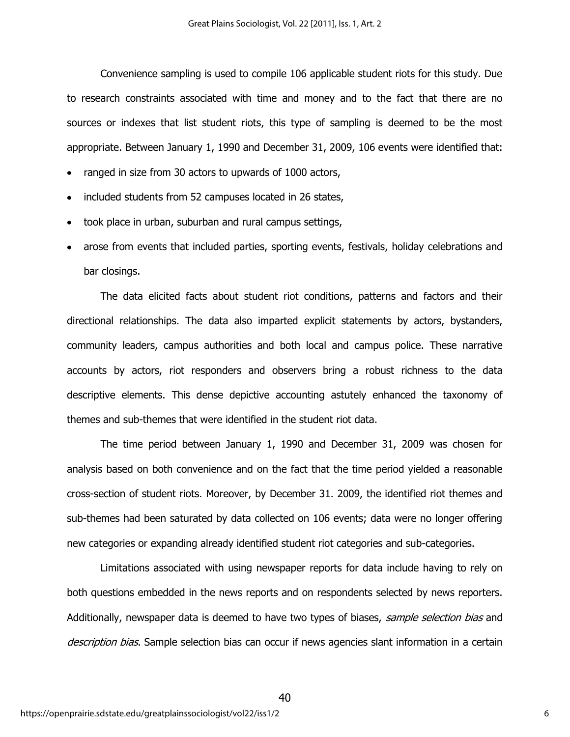Convenience sampling is used to compile 106 applicable student riots for this study. Due to research constraints associated with time and money and to the fact that there are no sources or indexes that list student riots, this type of sampling is deemed to be the most appropriate. Between January 1, 1990 and December 31, 2009, 106 events were identified that:

- ranged in size from 30 actors to upwards of 1000 actors,
- included students from 52 campuses located in 26 states,
- took place in urban, suburban and rural campus settings,
- arose from events that included parties, sporting events, festivals, holiday celebrations and bar closings.

The data elicited facts about student riot conditions, patterns and factors and their directional relationships. The data also imparted explicit statements by actors, bystanders, community leaders, campus authorities and both local and campus police. These narrative accounts by actors, riot responders and observers bring a robust richness to the data descriptive elements. This dense depictive accounting astutely enhanced the taxonomy of themes and sub-themes that were identified in the student riot data.

The time period between January 1, 1990 and December 31, 2009 was chosen for analysis based on both convenience and on the fact that the time period yielded a reasonable cross-section of student riots. Moreover, by December 31. 2009, the identified riot themes and sub-themes had been saturated by data collected on 106 events; data were no longer offering new categories or expanding already identified student riot categories and sub-categories.

Limitations associated with using newspaper reports for data include having to rely on both questions embedded in the news reports and on respondents selected by news reporters. Additionally, newspaper data is deemed to have two types of biases, sample selection bias and description bias. Sample selection bias can occur if news agencies slant information in a certain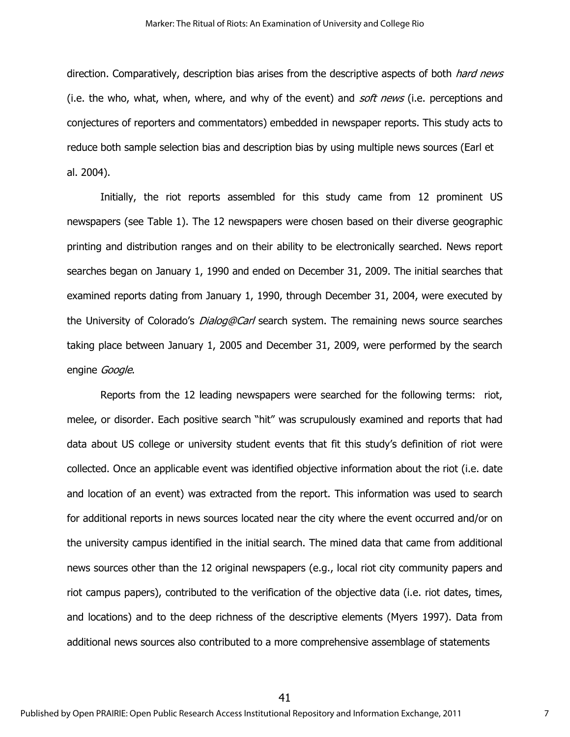direction. Comparatively, description bias arises from the descriptive aspects of both *hard news* (i.e. the who, what, when, where, and why of the event) and  $\mathfrak{soft}$  news (i.e. perceptions and conjectures of reporters and commentators) embedded in newspaper reports. This study acts to reduce both sample selection bias and description bias by using multiple news sources (Earl et al. 2004).

Initially, the riot reports assembled for this study came from 12 prominent US newspapers (see Table 1). The 12 newspapers were chosen based on their diverse geographic printing and distribution ranges and on their ability to be electronically searched. News report searches began on January 1, 1990 and ended on December 31, 2009. The initial searches that examined reports dating from January 1, 1990, through December 31, 2004, were executed by the University of Colorado's *Dialog@Carl* search system. The remaining news source searches taking place between January 1, 2005 and December 31, 2009, were performed by the search engine Google.

Reports from the 12 leading newspapers were searched for the following terms: riot, melee, or disorder. Each positive search "hit" was scrupulously examined and reports that had data about US college or university student events that fit this study's definition of riot were collected. Once an applicable event was identified objective information about the riot (i.e. date and location of an event) was extracted from the report. This information was used to search for additional reports in news sources located near the city where the event occurred and/or on the university campus identified in the initial search. The mined data that came from additional news sources other than the 12 original newspapers (e.g., local riot city community papers and riot campus papers), contributed to the verification of the objective data (i.e. riot dates, times, and locations) and to the deep richness of the descriptive elements (Myers 1997). Data from additional news sources also contributed to a more comprehensive assemblage of statements

41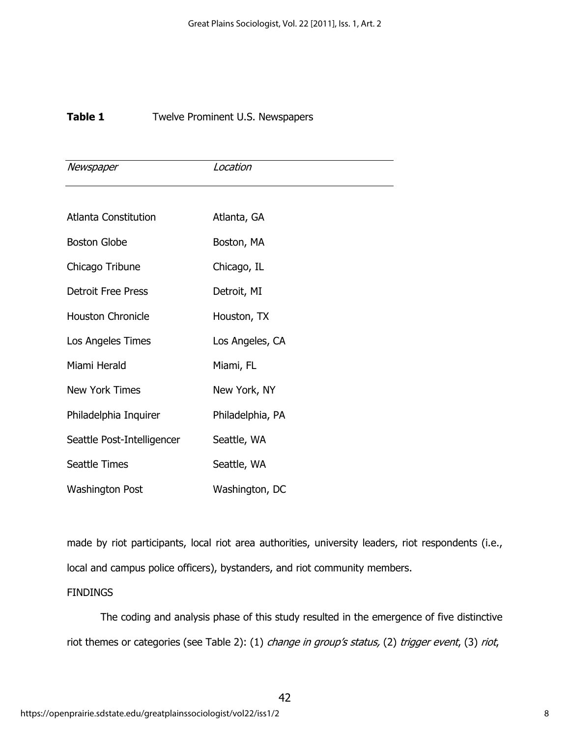## **Table 1** Twelve Prominent U.S. Newspapers

| Newspaper                  | Location         |
|----------------------------|------------------|
|                            |                  |
| Atlanta Constitution       | Atlanta, GA      |
| <b>Boston Globe</b>        | Boston, MA       |
| Chicago Tribune            | Chicago, IL      |
| <b>Detroit Free Press</b>  | Detroit, MI      |
| <b>Houston Chronicle</b>   | Houston, TX      |
| Los Angeles Times          | Los Angeles, CA  |
| Miami Herald               | Miami, FL        |
| New York Times             | New York, NY     |
| Philadelphia Inquirer      | Philadelphia, PA |
| Seattle Post-Intelligencer | Seattle, WA      |
| <b>Seattle Times</b>       | Seattle, WA      |
| <b>Washington Post</b>     | Washington, DC   |

made by riot participants, local riot area authorities, university leaders, riot respondents (i.e., local and campus police officers), bystanders, and riot community members.

## FINDINGS

The coding and analysis phase of this study resulted in the emergence of five distinctive riot themes or categories (see Table 2): (1) change in group's status, (2) trigger event, (3) riot,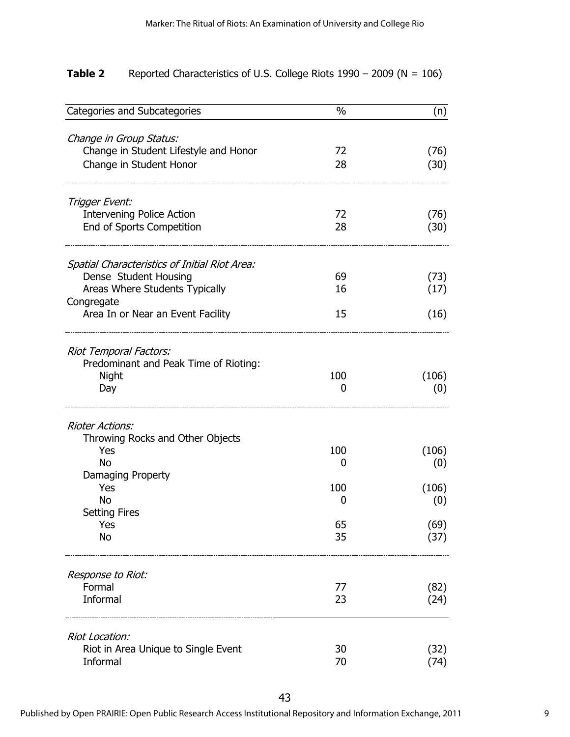| Table 2 | Reported Characteristics of U.S. College Riots $1990 - 2009$ (N = 106) |  |  |
|---------|------------------------------------------------------------------------|--|--|
|---------|------------------------------------------------------------------------|--|--|

| Categories and Subcategories                  | $\%$     | (n)          |
|-----------------------------------------------|----------|--------------|
| Change in Group Status:                       |          |              |
| Change in Student Lifestyle and Honor         | 72       | (76)         |
| Change in Student Honor                       | 28       | (30)         |
| Trigger Event:                                |          |              |
| <b>Intervening Police Action</b>              | 72       | (76)         |
| End of Sports Competition                     | 28       | (30)         |
| Spatial Characteristics of Initial Riot Area: |          |              |
| Dense Student Housing                         | 69       | (73)         |
| Areas Where Students Typically                | 16       | (17)         |
| Congregate                                    |          |              |
| Area In or Near an Event Facility             | 15       | (16)         |
| Riot Temporal Factors:                        |          |              |
| Predominant and Peak Time of Rioting:         |          |              |
| Night                                         | 100      | (106)        |
| Day                                           | 0        | (0)          |
| <b>Rioter Actions:</b>                        |          |              |
| Throwing Rocks and Other Objects              |          |              |
| Yes                                           | 100      | (106)        |
| <b>No</b>                                     | 0        | (0)          |
| Damaging Property                             |          |              |
| Yes                                           | 100      | (106)        |
| No                                            | 0        | (0)          |
| <b>Setting Fires</b>                          |          |              |
| Yes<br>No                                     | 65<br>35 | (69)<br>(37) |
|                                               |          |              |
| Response to Riot:                             |          |              |
| Formal                                        | 77       | (82)         |
| Informal                                      | 23       | (24)         |
| Riot Location:                                |          |              |
| Riot in Area Unique to Single Event           | 30       | (32)         |
| Informal                                      | 70       | (74)         |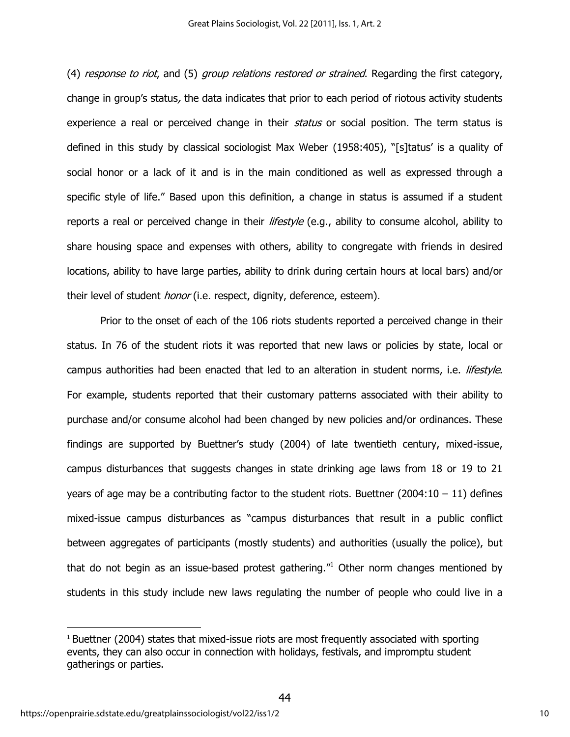(4) response to riot, and (5) group relations restored or strained. Regarding the first category, change in group's status, the data indicates that prior to each period of riotous activity students experience a real or perceived change in their status or social position. The term status is defined in this study by classical sociologist Max Weber (1958:405), "[s]tatus' is a quality of social honor or a lack of it and is in the main conditioned as well as expressed through a specific style of life." Based upon this definition, a change in status is assumed if a student reports a real or perceived change in their *lifestyle* (e.g., ability to consume alcohol, ability to share housing space and expenses with others, ability to congregate with friends in desired locations, ability to have large parties, ability to drink during certain hours at local bars) and/or their level of student *honor* (i.e. respect, dignity, deference, esteem).

Prior to the onset of each of the 106 riots students reported a perceived change in their status. In 76 of the student riots it was reported that new laws or policies by state, local or campus authorities had been enacted that led to an alteration in student norms, i.e. lifestyle. For example, students reported that their customary patterns associated with their ability to purchase and/or consume alcohol had been changed by new policies and/or ordinances. These findings are supported by Buettner's study (2004) of late twentieth century, mixed-issue, campus disturbances that suggests changes in state drinking age laws from 18 or 19 to 21 years of age may be a contributing factor to the student riots. Buettner  $(2004:10 - 11)$  defines mixed-issue campus disturbances as "campus disturbances that result in a public conflict between aggregates of participants (mostly students) and authorities (usually the police), but that do not begin as an issue-based protest gathering."<sup>1</sup> Other norm changes mentioned by students in this study include new laws regulating the number of people who could live in a

 $\overline{a}$ 

 $1$  Buettner (2004) states that mixed-issue riots are most frequently associated with sporting events, they can also occur in connection with holidays, festivals, and impromptu student gatherings or parties.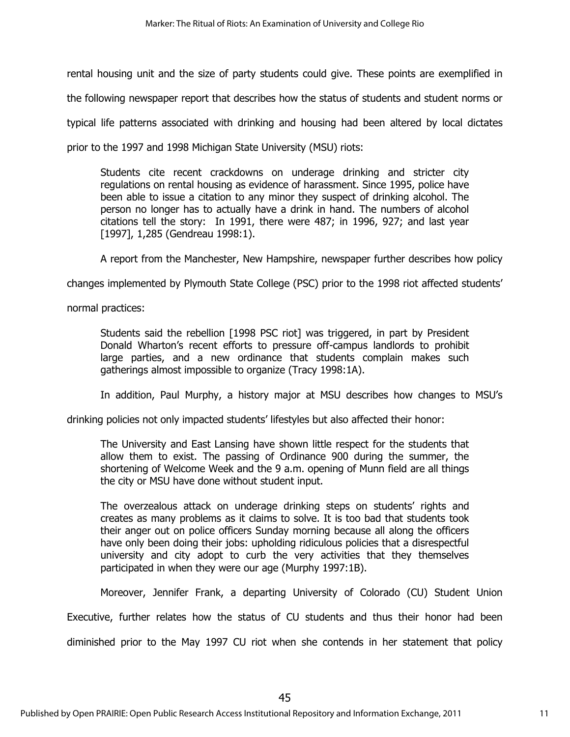rental housing unit and the size of party students could give. These points are exemplified in

the following newspaper report that describes how the status of students and student norms or

typical life patterns associated with drinking and housing had been altered by local dictates

prior to the 1997 and 1998 Michigan State University (MSU) riots:

Students cite recent crackdowns on underage drinking and stricter city regulations on rental housing as evidence of harassment. Since 1995, police have been able to issue a citation to any minor they suspect of drinking alcohol. The person no longer has to actually have a drink in hand. The numbers of alcohol citations tell the story: In 1991, there were 487; in 1996, 927; and last year [1997], 1,285 (Gendreau 1998:1).

A report from the Manchester, New Hampshire, newspaper further describes how policy

changes implemented by Plymouth State College (PSC) prior to the 1998 riot affected students'

normal practices:

Students said the rebellion [1998 PSC riot] was triggered, in part by President Donald Wharton's recent efforts to pressure off-campus landlords to prohibit large parties, and a new ordinance that students complain makes such gatherings almost impossible to organize (Tracy 1998:1A).

In addition, Paul Murphy, a history major at MSU describes how changes to MSU's

drinking policies not only impacted students' lifestyles but also affected their honor:

The University and East Lansing have shown little respect for the students that allow them to exist. The passing of Ordinance 900 during the summer, the shortening of Welcome Week and the 9 a.m. opening of Munn field are all things the city or MSU have done without student input.

The overzealous attack on underage drinking steps on students' rights and creates as many problems as it claims to solve. It is too bad that students took their anger out on police officers Sunday morning because all along the officers have only been doing their jobs: upholding ridiculous policies that a disrespectful university and city adopt to curb the very activities that they themselves participated in when they were our age (Murphy 1997:1B).

Moreover, Jennifer Frank, a departing University of Colorado (CU) Student Union

Executive, further relates how the status of CU students and thus their honor had been diminished prior to the May 1997 CU riot when she contends in her statement that policy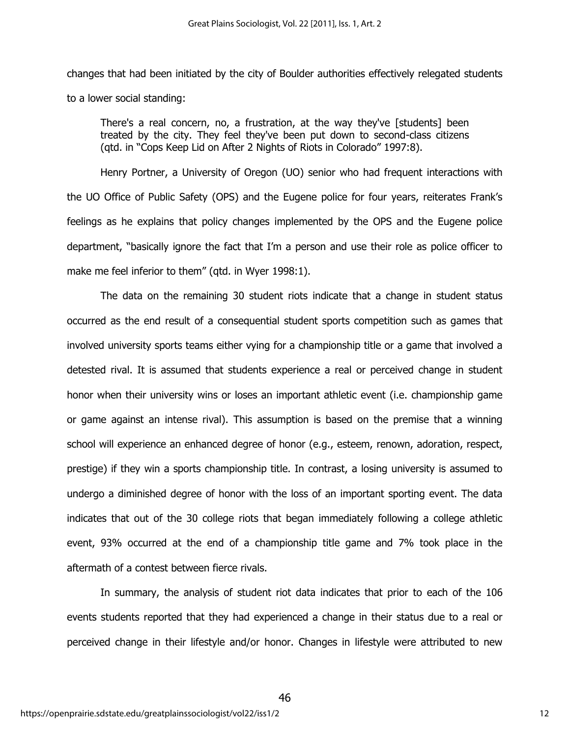changes that had been initiated by the city of Boulder authorities effectively relegated students to a lower social standing:

There's a real concern, no, a frustration, at the way they've [students] been treated by the city. They feel they've been put down to second-class citizens (qtd. in "Cops Keep Lid on After 2 Nights of Riots in Colorado" 1997:8).

Henry Portner, a University of Oregon (UO) senior who had frequent interactions with the UO Office of Public Safety (OPS) and the Eugene police for four years, reiterates Frank's feelings as he explains that policy changes implemented by the OPS and the Eugene police department, "basically ignore the fact that I'm a person and use their role as police officer to make me feel inferior to them" (qtd. in Wyer 1998:1).

The data on the remaining 30 student riots indicate that a change in student status occurred as the end result of a consequential student sports competition such as games that involved university sports teams either vying for a championship title or a game that involved a detested rival. It is assumed that students experience a real or perceived change in student honor when their university wins or loses an important athletic event (i.e. championship game or game against an intense rival). This assumption is based on the premise that a winning school will experience an enhanced degree of honor (e.g., esteem, renown, adoration, respect, prestige) if they win a sports championship title. In contrast, a losing university is assumed to undergo a diminished degree of honor with the loss of an important sporting event. The data indicates that out of the 30 college riots that began immediately following a college athletic event, 93% occurred at the end of a championship title game and 7% took place in the aftermath of a contest between fierce rivals.

In summary, the analysis of student riot data indicates that prior to each of the 106 events students reported that they had experienced a change in their status due to a real or perceived change in their lifestyle and/or honor. Changes in lifestyle were attributed to new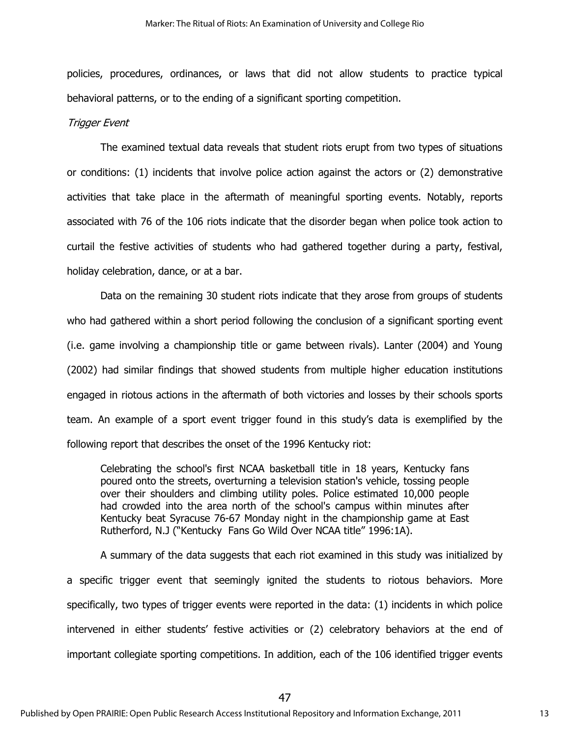policies, procedures, ordinances, or laws that did not allow students to practice typical behavioral patterns, or to the ending of a significant sporting competition.

#### Trigger Event

The examined textual data reveals that student riots erupt from two types of situations or conditions: (1) incidents that involve police action against the actors or (2) demonstrative activities that take place in the aftermath of meaningful sporting events. Notably, reports associated with 76 of the 106 riots indicate that the disorder began when police took action to curtail the festive activities of students who had gathered together during a party, festival, holiday celebration, dance, or at a bar.

Data on the remaining 30 student riots indicate that they arose from groups of students who had gathered within a short period following the conclusion of a significant sporting event (i.e. game involving a championship title or game between rivals). Lanter (2004) and Young (2002) had similar findings that showed students from multiple higher education institutions engaged in riotous actions in the aftermath of both victories and losses by their schools sports team. An example of a sport event trigger found in this study's data is exemplified by the following report that describes the onset of the 1996 Kentucky riot:

Celebrating the school's first NCAA basketball title in 18 years, Kentucky fans poured onto the streets, overturning a television station's vehicle, tossing people over their shoulders and climbing utility poles. Police estimated 10,000 people had crowded into the area north of the school's campus within minutes after Kentucky beat Syracuse 76-67 Monday night in the championship game at East Rutherford, N.J ("Kentucky Fans Go Wild Over NCAA title" 1996:1A).

A summary of the data suggests that each riot examined in this study was initialized by a specific trigger event that seemingly ignited the students to riotous behaviors. More specifically, two types of trigger events were reported in the data: (1) incidents in which police intervened in either students' festive activities or (2) celebratory behaviors at the end of important collegiate sporting competitions. In addition, each of the 106 identified trigger events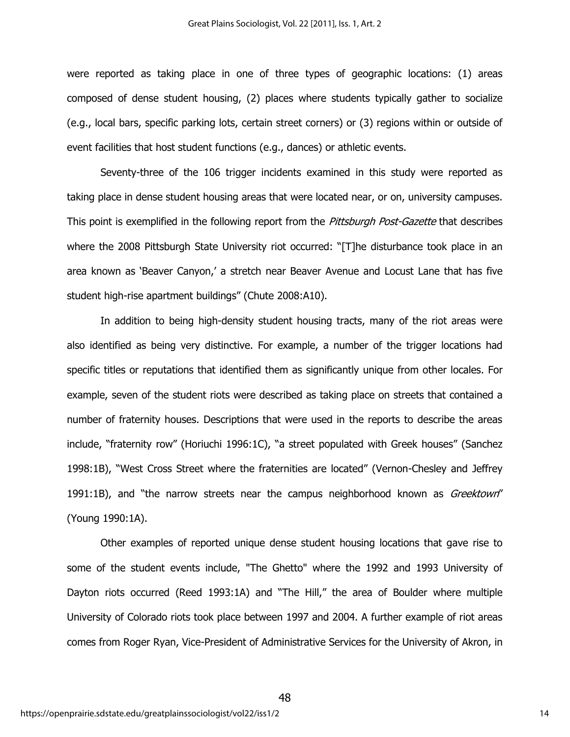were reported as taking place in one of three types of geographic locations: (1) areas composed of dense student housing, (2) places where students typically gather to socialize (e.g., local bars, specific parking lots, certain street corners) or (3) regions within or outside of event facilities that host student functions (e.g., dances) or athletic events.

Seventy-three of the 106 trigger incidents examined in this study were reported as taking place in dense student housing areas that were located near, or on, university campuses. This point is exemplified in the following report from the *Pittsburgh Post-Gazette* that describes where the 2008 Pittsburgh State University riot occurred: "[T]he disturbance took place in an area known as 'Beaver Canyon,' a stretch near Beaver Avenue and Locust Lane that has five student high-rise apartment buildings" (Chute 2008:A10).

In addition to being high-density student housing tracts, many of the riot areas were also identified as being very distinctive. For example, a number of the trigger locations had specific titles or reputations that identified them as significantly unique from other locales. For example, seven of the student riots were described as taking place on streets that contained a number of fraternity houses. Descriptions that were used in the reports to describe the areas include, "fraternity row" (Horiuchi 1996:1C), "a street populated with Greek houses" (Sanchez 1998:1B), "West Cross Street where the fraternities are located" (Vernon-Chesley and Jeffrey 1991:1B), and "the narrow streets near the campus neighborhood known as *Greektown*" (Young 1990:1A).

Other examples of reported unique dense student housing locations that gave rise to some of the student events include, "The Ghetto" where the 1992 and 1993 University of Dayton riots occurred (Reed 1993:1A) and "The Hill," the area of Boulder where multiple University of Colorado riots took place between 1997 and 2004. A further example of riot areas comes from Roger Ryan, Vice-President of Administrative Services for the University of Akron, in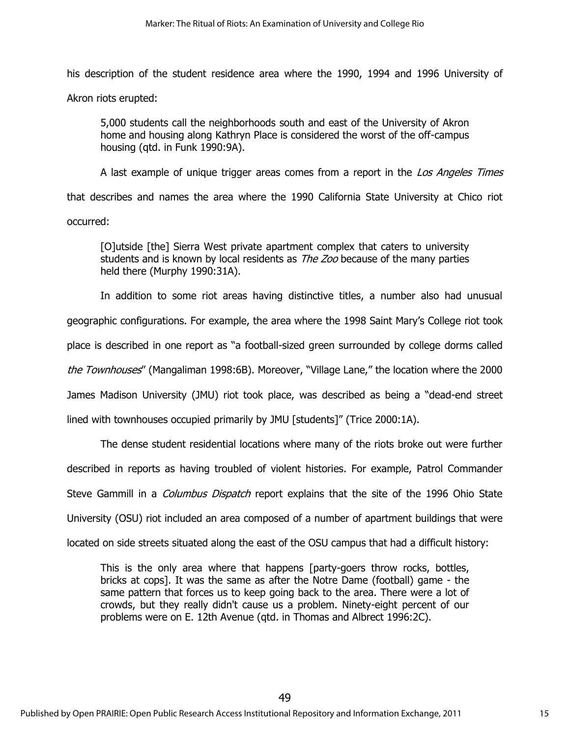his description of the student residence area where the 1990, 1994 and 1996 University of

Akron riots erupted:

5,000 students call the neighborhoods south and east of the University of Akron home and housing along Kathryn Place is considered the worst of the off-campus housing (qtd. in Funk 1990:9A).

A last example of unique trigger areas comes from a report in the Los Angeles Times that describes and names the area where the 1990 California State University at Chico riot occurred:

[O]utside [the] Sierra West private apartment complex that caters to university students and is known by local residents as *The Zoo* because of the many parties held there (Murphy 1990:31A).

In addition to some riot areas having distinctive titles, a number also had unusual geographic configurations. For example, the area where the 1998 Saint Mary's College riot took place is described in one report as "a football-sized green surrounded by college dorms called the Townhouses" (Mangaliman 1998:6B). Moreover, "Village Lane," the location where the 2000 James Madison University (JMU) riot took place, was described as being a "dead-end street lined with townhouses occupied primarily by JMU [students]" (Trice 2000:1A).

The dense student residential locations where many of the riots broke out were further described in reports as having troubled of violent histories. For example, Patrol Commander Steve Gammill in a *Columbus Dispatch* report explains that the site of the 1996 Ohio State University (OSU) riot included an area composed of a number of apartment buildings that were located on side streets situated along the east of the OSU campus that had a difficult history:

This is the only area where that happens [party-goers throw rocks, bottles, bricks at cops]. It was the same as after the Notre Dame (football) game - the same pattern that forces us to keep going back to the area. There were a lot of crowds, but they really didn't cause us a problem. Ninety-eight percent of our problems were on E. 12th Avenue (qtd. in Thomas and Albrect 1996:2C).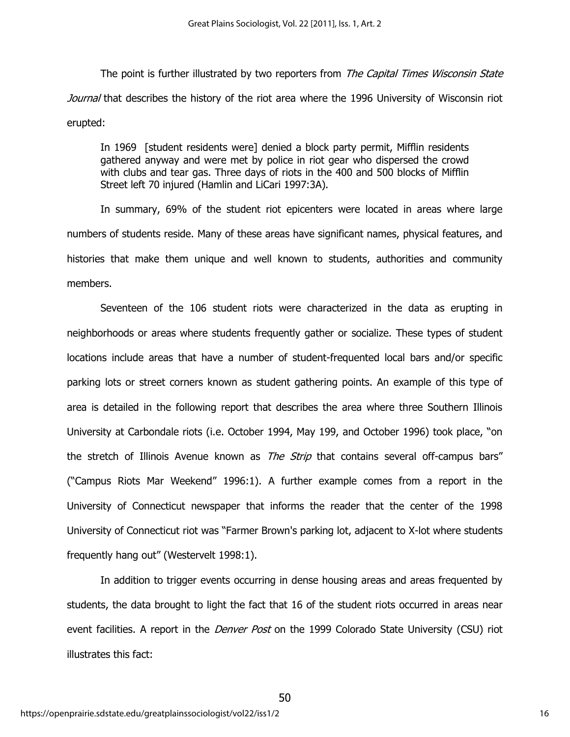The point is further illustrated by two reporters from The Capital Times Wisconsin State Journal that describes the history of the riot area where the 1996 University of Wisconsin riot erupted:

In 1969 [student residents were] denied a block party permit, Mifflin residents gathered anyway and were met by police in riot gear who dispersed the crowd with clubs and tear gas. Three days of riots in the 400 and 500 blocks of Mifflin Street left 70 injured (Hamlin and LiCari 1997:3A).

In summary, 69% of the student riot epicenters were located in areas where large numbers of students reside. Many of these areas have significant names, physical features, and histories that make them unique and well known to students, authorities and community members.

Seventeen of the 106 student riots were characterized in the data as erupting in neighborhoods or areas where students frequently gather or socialize. These types of student locations include areas that have a number of student-frequented local bars and/or specific parking lots or street corners known as student gathering points. An example of this type of area is detailed in the following report that describes the area where three Southern Illinois University at Carbondale riots (i.e. October 1994, May 199, and October 1996) took place, "on the stretch of Illinois Avenue known as *The Strip* that contains several off-campus bars" ("Campus Riots Mar Weekend" 1996:1). A further example comes from a report in the University of Connecticut newspaper that informs the reader that the center of the 1998 University of Connecticut riot was "Farmer Brown's parking lot, adjacent to X-lot where students frequently hang out" (Westervelt 1998:1).

In addition to trigger events occurring in dense housing areas and areas frequented by students, the data brought to light the fact that 16 of the student riots occurred in areas near event facilities. A report in the *Denver Post* on the 1999 Colorado State University (CSU) riot illustrates this fact: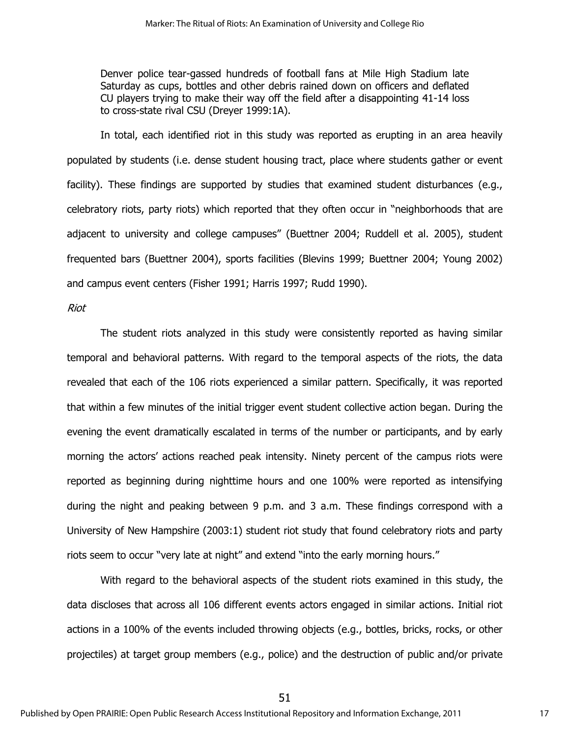Denver police tear-gassed hundreds of football fans at Mile High Stadium late Saturday as cups, bottles and other debris rained down on officers and deflated CU players trying to make their way off the field after a disappointing 41-14 loss to cross-state rival CSU (Dreyer 1999:1A).

In total, each identified riot in this study was reported as erupting in an area heavily populated by students (i.e. dense student housing tract, place where students gather or event facility). These findings are supported by studies that examined student disturbances (e.g., celebratory riots, party riots) which reported that they often occur in "neighborhoods that are adjacent to university and college campuses" (Buettner 2004; Ruddell et al. 2005), student frequented bars (Buettner 2004), sports facilities (Blevins 1999; Buettner 2004; Young 2002) and campus event centers (Fisher 1991; Harris 1997; Rudd 1990).

Riot

The student riots analyzed in this study were consistently reported as having similar temporal and behavioral patterns. With regard to the temporal aspects of the riots, the data revealed that each of the 106 riots experienced a similar pattern. Specifically, it was reported that within a few minutes of the initial trigger event student collective action began. During the evening the event dramatically escalated in terms of the number or participants, and by early morning the actors' actions reached peak intensity. Ninety percent of the campus riots were reported as beginning during nighttime hours and one 100% were reported as intensifying during the night and peaking between 9 p.m. and 3 a.m. These findings correspond with a University of New Hampshire (2003:1) student riot study that found celebratory riots and party riots seem to occur "very late at night" and extend "into the early morning hours."

With regard to the behavioral aspects of the student riots examined in this study, the data discloses that across all 106 different events actors engaged in similar actions. Initial riot actions in a 100% of the events included throwing objects (e.g., bottles, bricks, rocks, or other projectiles) at target group members (e.g., police) and the destruction of public and/or private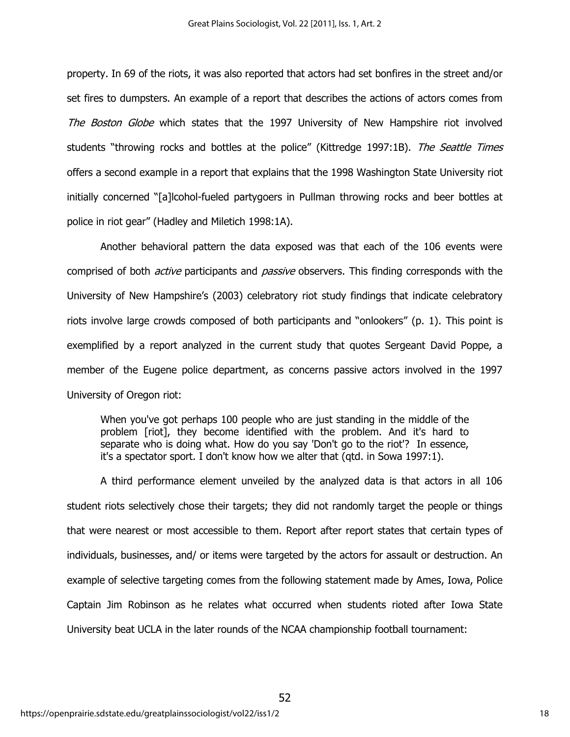property. In 69 of the riots, it was also reported that actors had set bonfires in the street and/or set fires to dumpsters. An example of a report that describes the actions of actors comes from The Boston Globe which states that the 1997 University of New Hampshire riot involved students "throwing rocks and bottles at the police" (Kittredge 1997:1B). The Seattle Times offers a second example in a report that explains that the 1998 Washington State University riot initially concerned "[a]lcohol-fueled partygoers in Pullman throwing rocks and beer bottles at police in riot gear" (Hadley and Miletich 1998:1A).

Another behavioral pattern the data exposed was that each of the 106 events were comprised of both *active* participants and *passive* observers. This finding corresponds with the University of New Hampshire's (2003) celebratory riot study findings that indicate celebratory riots involve large crowds composed of both participants and "onlookers" (p. 1). This point is exemplified by a report analyzed in the current study that quotes Sergeant David Poppe, a member of the Eugene police department, as concerns passive actors involved in the 1997 University of Oregon riot:

When you've got perhaps 100 people who are just standing in the middle of the problem [riot], they become identified with the problem. And it's hard to separate who is doing what. How do you say 'Don't go to the riot'? In essence, it's a spectator sport. I don't know how we alter that (qtd. in Sowa 1997:1).

A third performance element unveiled by the analyzed data is that actors in all 106 student riots selectively chose their targets; they did not randomly target the people or things that were nearest or most accessible to them. Report after report states that certain types of individuals, businesses, and/ or items were targeted by the actors for assault or destruction. An example of selective targeting comes from the following statement made by Ames, Iowa, Police Captain Jim Robinson as he relates what occurred when students rioted after Iowa State University beat UCLA in the later rounds of the NCAA championship football tournament: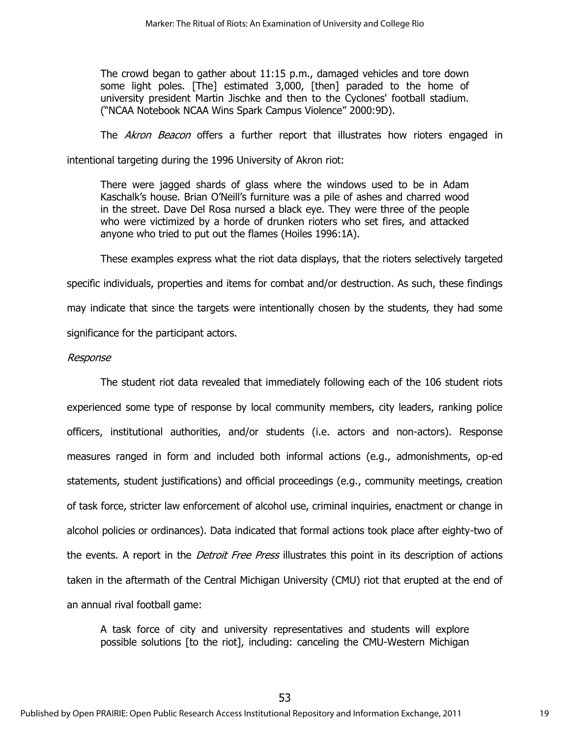The crowd began to gather about 11:15 p.m., damaged vehicles and tore down some light poles. [The] estimated 3,000, [then] paraded to the home of university president Martin Jischke and then to the Cyclones' football stadium. ("NCAA Notebook NCAA Wins Spark Campus Violence" 2000:9D).

The *Akron Beacon* offers a further report that illustrates how rioters engaged in

intentional targeting during the 1996 University of Akron riot:

There were jagged shards of glass where the windows used to be in Adam Kaschalk's house. Brian O'Neill's furniture was a pile of ashes and charred wood in the street. Dave Del Rosa nursed a black eye. They were three of the people who were victimized by a horde of drunken rioters who set fires, and attacked anyone who tried to put out the flames (Hoiles 1996:1A).

These examples express what the riot data displays, that the rioters selectively targeted specific individuals, properties and items for combat and/or destruction. As such, these findings may indicate that since the targets were intentionally chosen by the students, they had some significance for the participant actors.

## Response

The student riot data revealed that immediately following each of the 106 student riots experienced some type of response by local community members, city leaders, ranking police officers, institutional authorities, and/or students (i.e. actors and non-actors). Response measures ranged in form and included both informal actions (e.g., admonishments, op-ed statements, student justifications) and official proceedings (e.g., community meetings, creation of task force, stricter law enforcement of alcohol use, criminal inquiries, enactment or change in alcohol policies or ordinances). Data indicated that formal actions took place after eighty-two of the events. A report in the *Detroit Free Press* illustrates this point in its description of actions taken in the aftermath of the Central Michigan University (CMU) riot that erupted at the end of an annual rival football game:

A task force of city and university representatives and students will explore possible solutions [to the riot], including: canceling the CMU-Western Michigan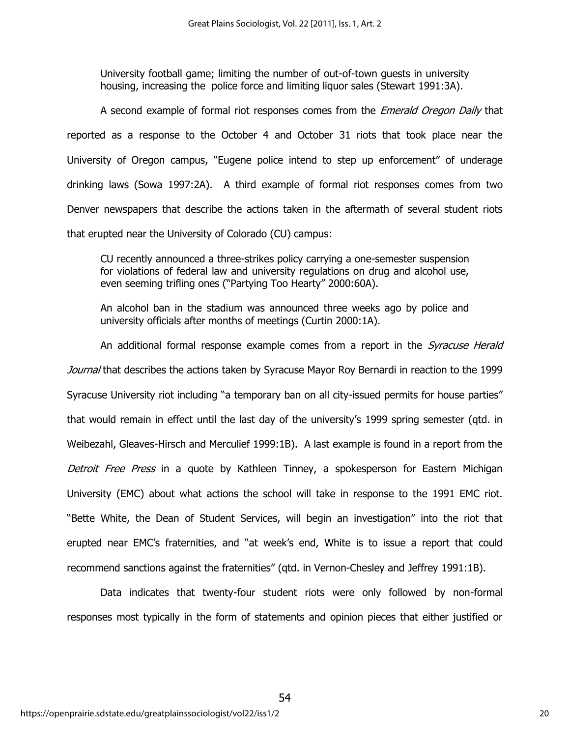University football game; limiting the number of out-of-town guests in university housing, increasing the police force and limiting liquor sales (Stewart 1991:3A).

A second example of formal riot responses comes from the *Emerald Oregon Daily* that reported as a response to the October 4 and October 31 riots that took place near the University of Oregon campus, "Eugene police intend to step up enforcement" of underage drinking laws (Sowa 1997:2A). A third example of formal riot responses comes from two Denver newspapers that describe the actions taken in the aftermath of several student riots that erupted near the University of Colorado (CU) campus:

CU recently announced a three-strikes policy carrying a one-semester suspension for violations of federal law and university regulations on drug and alcohol use, even seeming trifling ones ("Partying Too Hearty" 2000:60A).

An alcohol ban in the stadium was announced three weeks ago by police and university officials after months of meetings (Curtin 2000:1A).

An additional formal response example comes from a report in the *Syracuse Herald* Journal that describes the actions taken by Syracuse Mayor Roy Bernardi in reaction to the 1999 Syracuse University riot including "a temporary ban on all city-issued permits for house parties" that would remain in effect until the last day of the university's 1999 spring semester (qtd. in Weibezahl, Gleaves-Hirsch and Merculief 1999:1B). A last example is found in a report from the Detroit Free Press in a quote by Kathleen Tinney, a spokesperson for Eastern Michigan University (EMC) about what actions the school will take in response to the 1991 EMC riot. "Bette White, the Dean of Student Services, will begin an investigation" into the riot that erupted near EMC's fraternities, and "at week's end, White is to issue a report that could recommend sanctions against the fraternities" (qtd. in Vernon-Chesley and Jeffrey 1991:1B).

Data indicates that twenty-four student riots were only followed by non-formal responses most typically in the form of statements and opinion pieces that either justified or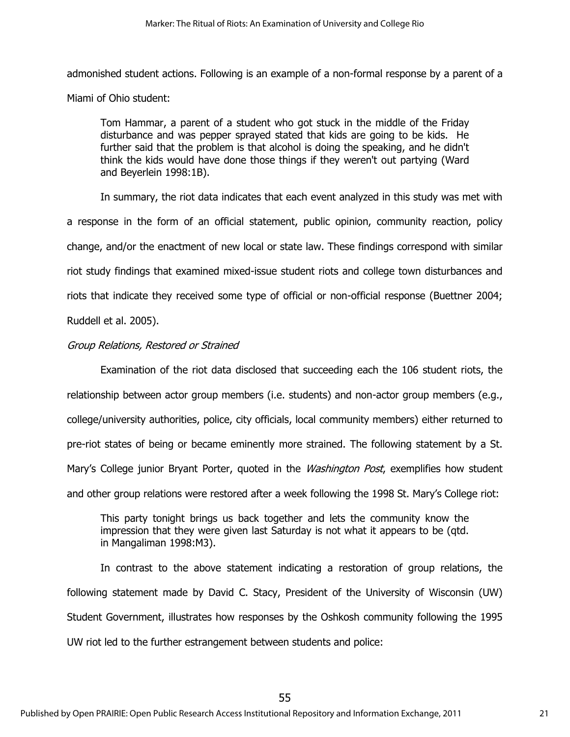admonished student actions. Following is an example of a non-formal response by a parent of a Miami of Ohio student:

Tom Hammar, a parent of a student who got stuck in the middle of the Friday disturbance and was pepper sprayed stated that kids are going to be kids. He further said that the problem is that alcohol is doing the speaking, and he didn't think the kids would have done those things if they weren't out partying (Ward and Beyerlein 1998:1B).

In summary, the riot data indicates that each event analyzed in this study was met with a response in the form of an official statement, public opinion, community reaction, policy change, and/or the enactment of new local or state law. These findings correspond with similar riot study findings that examined mixed-issue student riots and college town disturbances and riots that indicate they received some type of official or non-official response (Buettner 2004; Ruddell et al. 2005).

## Group Relations, Restored or Strained

Examination of the riot data disclosed that succeeding each the 106 student riots, the relationship between actor group members (i.e. students) and non-actor group members (e.g., college/university authorities, police, city officials, local community members) either returned to pre-riot states of being or became eminently more strained. The following statement by a St. Mary's College junior Bryant Porter, quoted in the *Washington Post*, exemplifies how student and other group relations were restored after a week following the 1998 St. Mary's College riot:

This party tonight brings us back together and lets the community know the impression that they were given last Saturday is not what it appears to be (qtd. in Mangaliman 1998:M3).

In contrast to the above statement indicating a restoration of group relations, the following statement made by David C. Stacy, President of the University of Wisconsin (UW) Student Government, illustrates how responses by the Oshkosh community following the 1995 UW riot led to the further estrangement between students and police: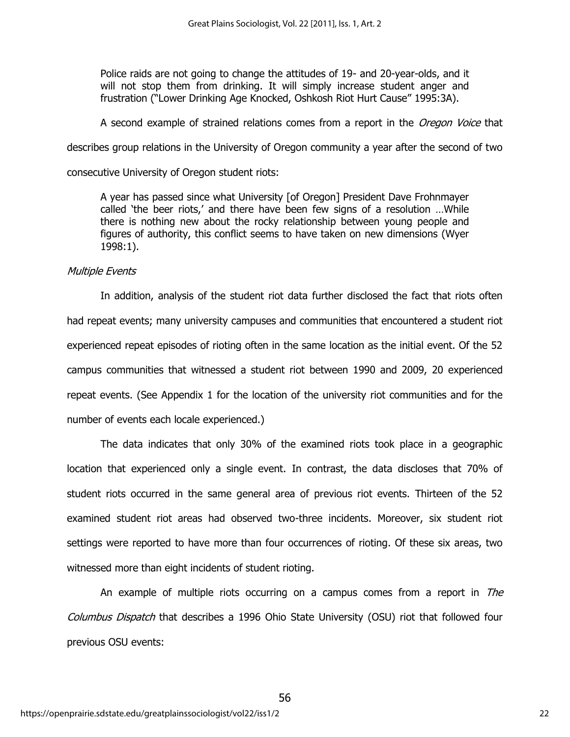Police raids are not going to change the attitudes of 19- and 20-year-olds, and it will not stop them from drinking. It will simply increase student anger and frustration ("Lower Drinking Age Knocked, Oshkosh Riot Hurt Cause" 1995:3A).

A second example of strained relations comes from a report in the Oregon Voice that

describes group relations in the University of Oregon community a year after the second of two

consecutive University of Oregon student riots:

A year has passed since what University [of Oregon] President Dave Frohnmayer called 'the beer riots,' and there have been few signs of a resolution …While there is nothing new about the rocky relationship between young people and figures of authority, this conflict seems to have taken on new dimensions (Wyer 1998:1).

## Multiple Events

In addition, analysis of the student riot data further disclosed the fact that riots often had repeat events; many university campuses and communities that encountered a student riot experienced repeat episodes of rioting often in the same location as the initial event. Of the 52 campus communities that witnessed a student riot between 1990 and 2009, 20 experienced repeat events. (See Appendix 1 for the location of the university riot communities and for the number of events each locale experienced.)

The data indicates that only 30% of the examined riots took place in a geographic location that experienced only a single event. In contrast, the data discloses that 70% of student riots occurred in the same general area of previous riot events. Thirteen of the 52 examined student riot areas had observed two-three incidents. Moreover, six student riot settings were reported to have more than four occurrences of rioting. Of these six areas, two witnessed more than eight incidents of student rioting.

An example of multiple riots occurring on a campus comes from a report in *The* Columbus Dispatch that describes a 1996 Ohio State University (OSU) riot that followed four previous OSU events: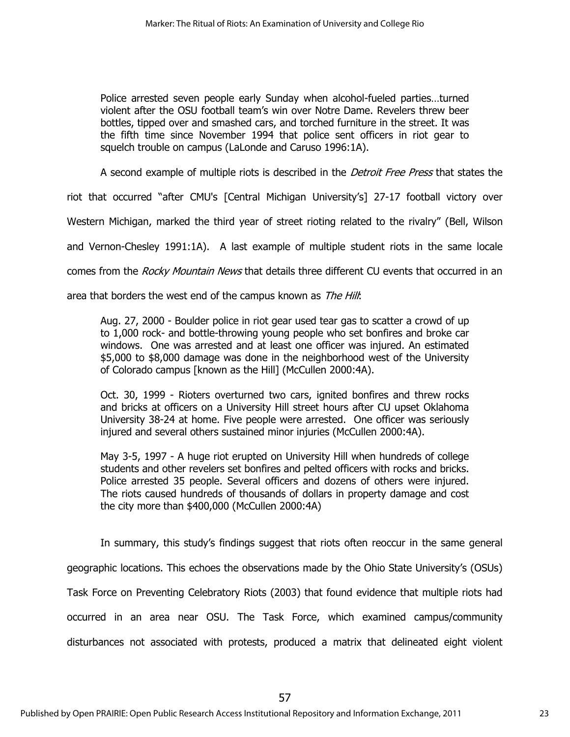Police arrested seven people early Sunday when alcohol-fueled parties…turned violent after the OSU football team's win over Notre Dame. Revelers threw beer bottles, tipped over and smashed cars, and torched furniture in the street. It was the fifth time since November 1994 that police sent officers in riot gear to squelch trouble on campus (LaLonde and Caruso 1996:1A).

A second example of multiple riots is described in the *Detroit Free Press* that states the

riot that occurred "after CMU's [Central Michigan University's] 27-17 football victory over

Western Michigan, marked the third year of street rioting related to the rivalry" (Bell, Wilson

and Vernon-Chesley 1991:1A). A last example of multiple student riots in the same locale

comes from the Rocky Mountain News that details three different CU events that occurred in an

area that borders the west end of the campus known as The Hill:

Aug. 27, 2000 - Boulder police in riot gear used tear gas to scatter a crowd of up to 1,000 rock- and bottle-throwing young people who set bonfires and broke car windows. One was arrested and at least one officer was injured. An estimated \$5,000 to \$8,000 damage was done in the neighborhood west of the University of Colorado campus [known as the Hill] (McCullen 2000:4A).

Oct. 30, 1999 - Rioters overturned two cars, ignited bonfires and threw rocks and bricks at officers on a University Hill street hours after CU upset Oklahoma University 38-24 at home. Five people were arrested. One officer was seriously injured and several others sustained minor injuries (McCullen 2000:4A).

May 3-5, 1997 - A huge riot erupted on University Hill when hundreds of college students and other revelers set bonfires and pelted officers with rocks and bricks. Police arrested 35 people. Several officers and dozens of others were injured. The riots caused hundreds of thousands of dollars in property damage and cost the city more than \$400,000 (McCullen 2000:4A)

In summary, this study's findings suggest that riots often reoccur in the same general geographic locations. This echoes the observations made by the Ohio State University's (OSUs) Task Force on Preventing Celebratory Riots (2003) that found evidence that multiple riots had occurred in an area near OSU. The Task Force, which examined campus/community disturbances not associated with protests, produced a matrix that delineated eight violent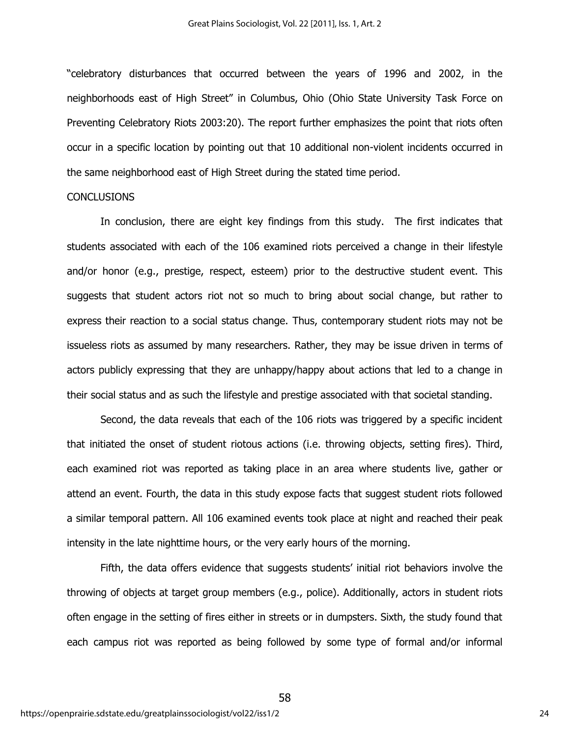"celebratory disturbances that occurred between the years of 1996 and 2002, in the neighborhoods east of High Street" in Columbus, Ohio (Ohio State University Task Force on Preventing Celebratory Riots 2003:20). The report further emphasizes the point that riots often occur in a specific location by pointing out that 10 additional non-violent incidents occurred in the same neighborhood east of High Street during the stated time period.

#### CONCLUSIONS

In conclusion, there are eight key findings from this study. The first indicates that students associated with each of the 106 examined riots perceived a change in their lifestyle and/or honor (e.g., prestige, respect, esteem) prior to the destructive student event. This suggests that student actors riot not so much to bring about social change, but rather to express their reaction to a social status change. Thus, contemporary student riots may not be issueless riots as assumed by many researchers. Rather, they may be issue driven in terms of actors publicly expressing that they are unhappy/happy about actions that led to a change in their social status and as such the lifestyle and prestige associated with that societal standing.

Second, the data reveals that each of the 106 riots was triggered by a specific incident that initiated the onset of student riotous actions (i.e. throwing objects, setting fires). Third, each examined riot was reported as taking place in an area where students live, gather or attend an event. Fourth, the data in this study expose facts that suggest student riots followed a similar temporal pattern. All 106 examined events took place at night and reached their peak intensity in the late nighttime hours, or the very early hours of the morning.

Fifth, the data offers evidence that suggests students' initial riot behaviors involve the throwing of objects at target group members (e.g., police). Additionally, actors in student riots often engage in the setting of fires either in streets or in dumpsters. Sixth, the study found that each campus riot was reported as being followed by some type of formal and/or informal

58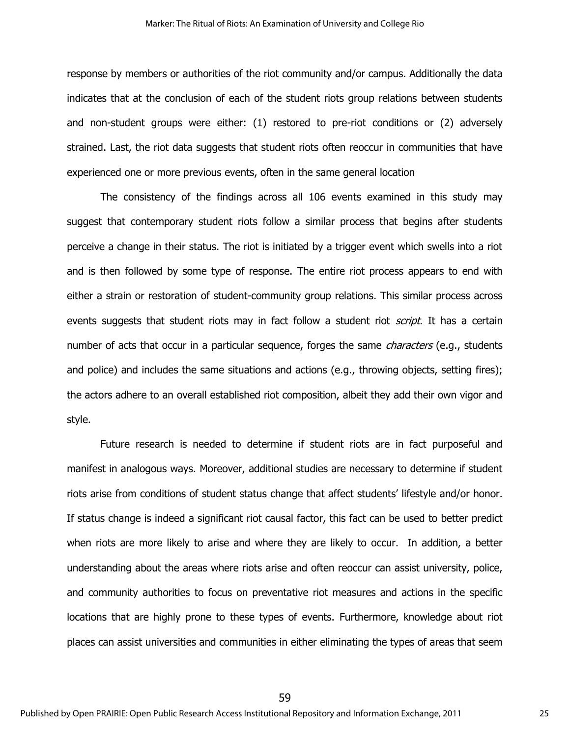response by members or authorities of the riot community and/or campus. Additionally the data indicates that at the conclusion of each of the student riots group relations between students and non-student groups were either: (1) restored to pre-riot conditions or (2) adversely strained. Last, the riot data suggests that student riots often reoccur in communities that have experienced one or more previous events, often in the same general location

The consistency of the findings across all 106 events examined in this study may suggest that contemporary student riots follow a similar process that begins after students perceive a change in their status. The riot is initiated by a trigger event which swells into a riot and is then followed by some type of response. The entire riot process appears to end with either a strain or restoration of student-community group relations. This similar process across events suggests that student riots may in fact follow a student riot *script*. It has a certain number of acts that occur in a particular sequence, forges the same *characters* (e.g., students and police) and includes the same situations and actions (e.g., throwing objects, setting fires); the actors adhere to an overall established riot composition, albeit they add their own vigor and style.

Future research is needed to determine if student riots are in fact purposeful and manifest in analogous ways. Moreover, additional studies are necessary to determine if student riots arise from conditions of student status change that affect students' lifestyle and/or honor. If status change is indeed a significant riot causal factor, this fact can be used to better predict when riots are more likely to arise and where they are likely to occur. In addition, a better understanding about the areas where riots arise and often reoccur can assist university, police, and community authorities to focus on preventative riot measures and actions in the specific locations that are highly prone to these types of events. Furthermore, knowledge about riot places can assist universities and communities in either eliminating the types of areas that seem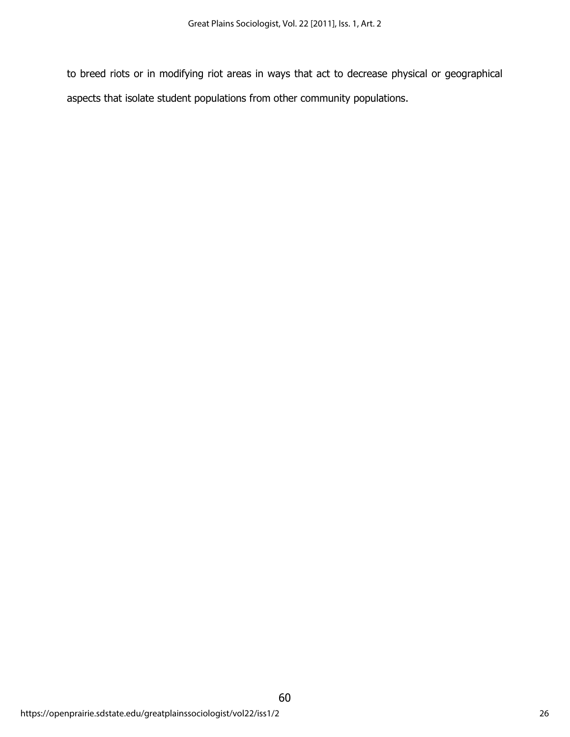to breed riots or in modifying riot areas in ways that act to decrease physical or geographical aspects that isolate student populations from other community populations.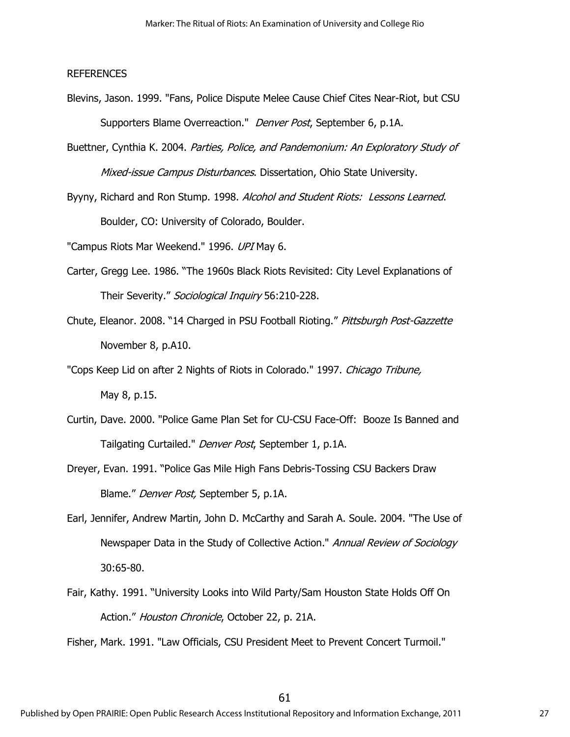### REFERENCES

- Blevins, Jason. 1999. "Fans, Police Dispute Melee Cause Chief Cites Near-Riot, but CSU Supporters Blame Overreaction." Denver Post, September 6, p.1A.
- Buettner, Cynthia K. 2004. Parties, Police, and Pandemonium: An Exploratory Study of Mixed-issue Campus Disturbances. Dissertation, Ohio State University.
- Byyny, Richard and Ron Stump. 1998. Alcohol and Student Riots: Lessons Learned. Boulder, CO: University of Colorado, Boulder.

"Campus Riots Mar Weekend." 1996. UPI May 6.

- Carter, Gregg Lee. 1986. "The 1960s Black Riots Revisited: City Level Explanations of Their Severity." Sociological Inquiry 56:210-228.
- Chute, Eleanor. 2008. "14 Charged in PSU Football Rioting." Pittsburgh Post-Gazzette November 8, p.A10.
- "Cops Keep Lid on after 2 Nights of Riots in Colorado." 1997. Chicago Tribune, May 8, p.15.
- Curtin, Dave. 2000. "Police Game Plan Set for CU-CSU Face-Off: Booze Is Banned and Tailgating Curtailed." Denver Post, September 1, p.1A.
- Dreyer, Evan. 1991. "Police Gas Mile High Fans Debris-Tossing CSU Backers Draw Blame." Denver Post, September 5, p.1A.
- Earl, Jennifer, Andrew Martin, John D. McCarthy and Sarah A. Soule. 2004. "The Use of Newspaper Data in the Study of Collective Action." Annual Review of Sociology 30:65-80.
- Fair, Kathy. 1991. "University Looks into Wild Party/Sam Houston State Holds Off On Action." Houston Chronicle, October 22, p. 21A.

Fisher, Mark. 1991. "Law Officials, CSU President Meet to Prevent Concert Turmoil."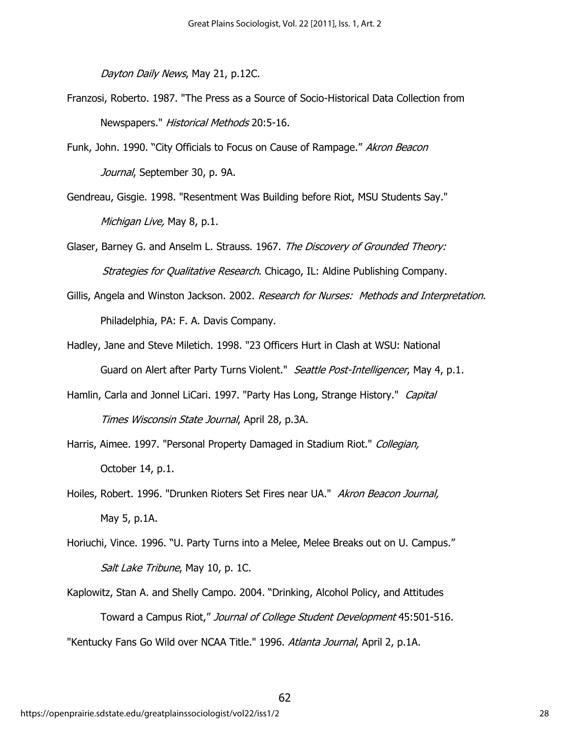Dayton Daily News, May 21, p.12C.

- Franzosi, Roberto. 1987. "The Press as a Source of Socio-Historical Data Collection from Newspapers." Historical Methods 20:5-16.
- Funk, John. 1990. "City Officials to Focus on Cause of Rampage." Akron Beacon Journal, September 30, p. 9A.
- Gendreau, Gisgie. 1998. "Resentment Was Building before Riot, MSU Students Say." Michigan Live, May 8, p.1.
- Glaser, Barney G. and Anselm L. Strauss. 1967. The Discovery of Grounded Theory: Strategies for Qualitative Research. Chicago, IL: Aldine Publishing Company.
- Gillis, Angela and Winston Jackson. 2002. Research for Nurses: Methods and Interpretation. Philadelphia, PA: F. A. Davis Company.
- Hadley, Jane and Steve Miletich. 1998. "23 Officers Hurt in Clash at WSU: National Guard on Alert after Party Turns Violent." Seattle Post-Intelligencer, May 4, p.1.
- Hamlin, Carla and Jonnel LiCari. 1997. "Party Has Long, Strange History." Capital Times Wisconsin State Journal, April 28, p.3A.
- Harris, Aimee. 1997. "Personal Property Damaged in Stadium Riot." Collegian, October 14, p.1.
- Hoiles, Robert. 1996. "Drunken Rioters Set Fires near UA." Akron Beacon Journal, May 5, p.1A.
- Horiuchi, Vince. 1996. "U. Party Turns into a Melee, Melee Breaks out on U. Campus." Salt Lake Tribune, May 10, p. 1C.
- Kaplowitz, Stan A. and Shelly Campo. 2004. "Drinking, Alcohol Policy, and Attitudes Toward a Campus Riot," Journal of College Student Development 45:501-516. "Kentucky Fans Go Wild over NCAA Title." 1996. Atlanta Journal, April 2, p.1A.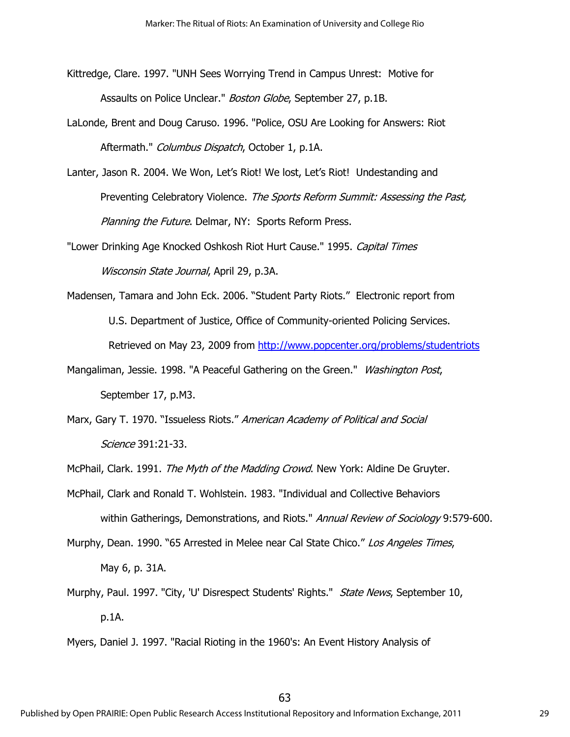Kittredge, Clare. 1997. "UNH Sees Worrying Trend in Campus Unrest: Motive for Assaults on Police Unclear." *Boston Globe*, September 27, p.1B.

- LaLonde, Brent and Doug Caruso. 1996. "Police, OSU Are Looking for Answers: Riot Aftermath." Columbus Dispatch, October 1, p.1A.
- Lanter, Jason R. 2004. We Won, Let's Riot! We lost, Let's Riot! Undestanding and Preventing Celebratory Violence. The Sports Reform Summit: Assessing the Past, Planning the Future. Delmar, NY: Sports Reform Press.
- "Lower Drinking Age Knocked Oshkosh Riot Hurt Cause." 1995. Capital Times Wisconsin State Journal, April 29, p.3A.
- Madensen, Tamara and John Eck. 2006. "Student Party Riots." Electronic report from U.S. Department of Justice, Office of Community-oriented Policing Services. Retrieved on May 23, 2009 from<http://www.popcenter.org/problems/studentriots>
- Mangaliman, Jessie. 1998. "A Peaceful Gathering on the Green." Washington Post, September 17, p.M3.
- Marx, Gary T. 1970. "Issueless Riots." American Academy of Political and Social Science 391:21-33.
- McPhail, Clark. 1991. The Myth of the Madding Crowd. New York: Aldine De Gruyter.
- McPhail, Clark and Ronald T. Wohlstein. 1983. "Individual and Collective Behaviors within Gatherings, Demonstrations, and Riots." Annual Review of Sociology 9:579-600.
- Murphy, Dean. 1990. "65 Arrested in Melee near Cal State Chico." Los Angeles Times,

May 6, p. 31A.

Murphy, Paul. 1997. "City, 'U' Disrespect Students' Rights." *State News*, September 10, p.1A.

Myers, Daniel J. 1997. "Racial Rioting in the 1960's: An Event History Analysis of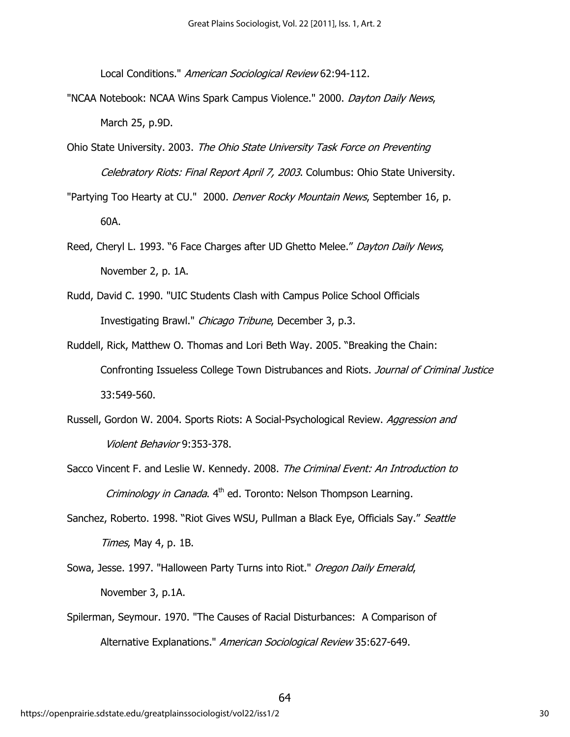Local Conditions." American Sociological Review 62:94-112.

- "NCAA Notebook: NCAA Wins Spark Campus Violence." 2000. Dayton Daily News, March 25, p.9D.
- Ohio State University. 2003. The Ohio State University Task Force on Preventing Celebratory Riots: Final Report April 7, 2003. Columbus: Ohio State University.

"Partying Too Hearty at CU." 2000. Denver Rocky Mountain News, September 16, p. 60A.

- Reed, Cheryl L. 1993. "6 Face Charges after UD Ghetto Melee." Dayton Daily News, November 2, p. 1A.
- Rudd, David C. 1990. "UIC Students Clash with Campus Police School Officials Investigating Brawl." Chicago Tribune, December 3, p.3.
- Ruddell, Rick, Matthew O. Thomas and Lori Beth Way. 2005. "Breaking the Chain: Confronting Issueless College Town Distrubances and Riots. Journal of Criminal Justice 33:549-560.
- Russell, Gordon W. 2004. Sports Riots: A Social-Psychological Review. Aggression and Violent Behavior 9:353-378.
- Sacco Vincent F. and Leslie W. Kennedy. 2008. The Criminal Event: An Introduction to *Criminology in Canada*.  $4<sup>th</sup>$  ed. Toronto: Nelson Thompson Learning.
- Sanchez, Roberto. 1998. "Riot Gives WSU, Pullman a Black Eye, Officials Say." Seattle Times, May 4, p. 1B.
- Sowa, Jesse. 1997. "Halloween Party Turns into Riot." Oregon Daily Emerald, November 3, p.1A.
- Spilerman, Seymour. 1970. "The Causes of Racial Disturbances: A Comparison of Alternative Explanations." American Sociological Review 35:627-649.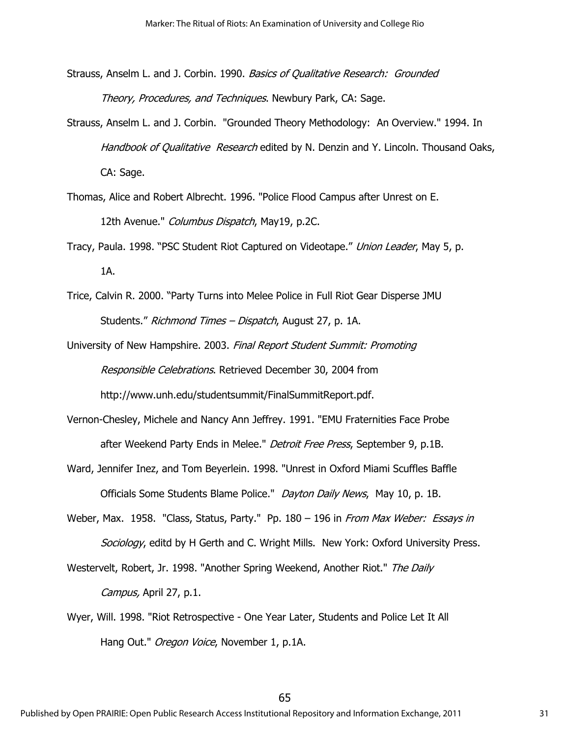- Strauss, Anselm L. and J. Corbin. 1990. Basics of Qualitative Research: Grounded Theory, Procedures, and Techniques. Newbury Park, CA: Sage.
- Strauss, Anselm L. and J. Corbin. "Grounded Theory Methodology: An Overview." 1994. In Handbook of Qualitative Research edited by N. Denzin and Y. Lincoln. Thousand Oaks, CA: Sage.
- Thomas, Alice and Robert Albrecht. 1996. "Police Flood Campus after Unrest on E. 12th Avenue." Columbus Dispatch, May19, p.2C.
- Tracy, Paula. 1998. "PSC Student Riot Captured on Videotape." Union Leader, May 5, p. 1A.
- Trice, Calvin R. 2000. "Party Turns into Melee Police in Full Riot Gear Disperse JMU Students." Richmond Times – Dispatch, August 27, p. 1A.
- University of New Hampshire. 2003. Final Report Student Summit: Promoting Responsible Celebrations. Retrieved December 30, 2004 from
	- http://www.unh.edu/studentsummit/FinalSummitReport.pdf.
- Vernon-Chesley, Michele and Nancy Ann Jeffrey. 1991. "EMU Fraternities Face Probe after Weekend Party Ends in Melee." *Detroit Free Press*, September 9, p.1B.
- Ward, Jennifer Inez, and Tom Beyerlein. 1998. "Unrest in Oxford Miami Scuffles Baffle Officials Some Students Blame Police." Dayton Daily News, May 10, p. 1B.
- Weber, Max. 1958. "Class, Status, Party." Pp. 180 196 in From Max Weber: Essays in Sociology, editd by H Gerth and C. Wright Mills. New York: Oxford University Press.
- Westervelt, Robert, Jr. 1998. "Another Spring Weekend, Another Riot." The Daily Campus, April 27, p.1.
- Wyer, Will. 1998. "Riot Retrospective One Year Later, Students and Police Let It All Hang Out." Oregon Voice, November 1, p.1A.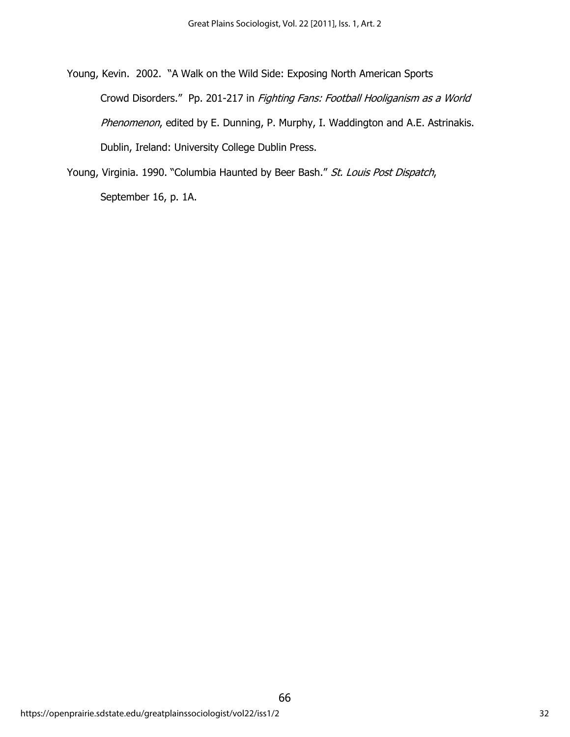Young, Kevin. 2002. "A Walk on the Wild Side: Exposing North American Sports Crowd Disorders." Pp. 201-217 in Fighting Fans: Football Hooliganism as a World Phenomenon, edited by E. Dunning, P. Murphy, I. Waddington and A.E. Astrinakis. Dublin, Ireland: University College Dublin Press.

Young, Virginia. 1990. "Columbia Haunted by Beer Bash." St. Louis Post Dispatch, September 16, p. 1A.